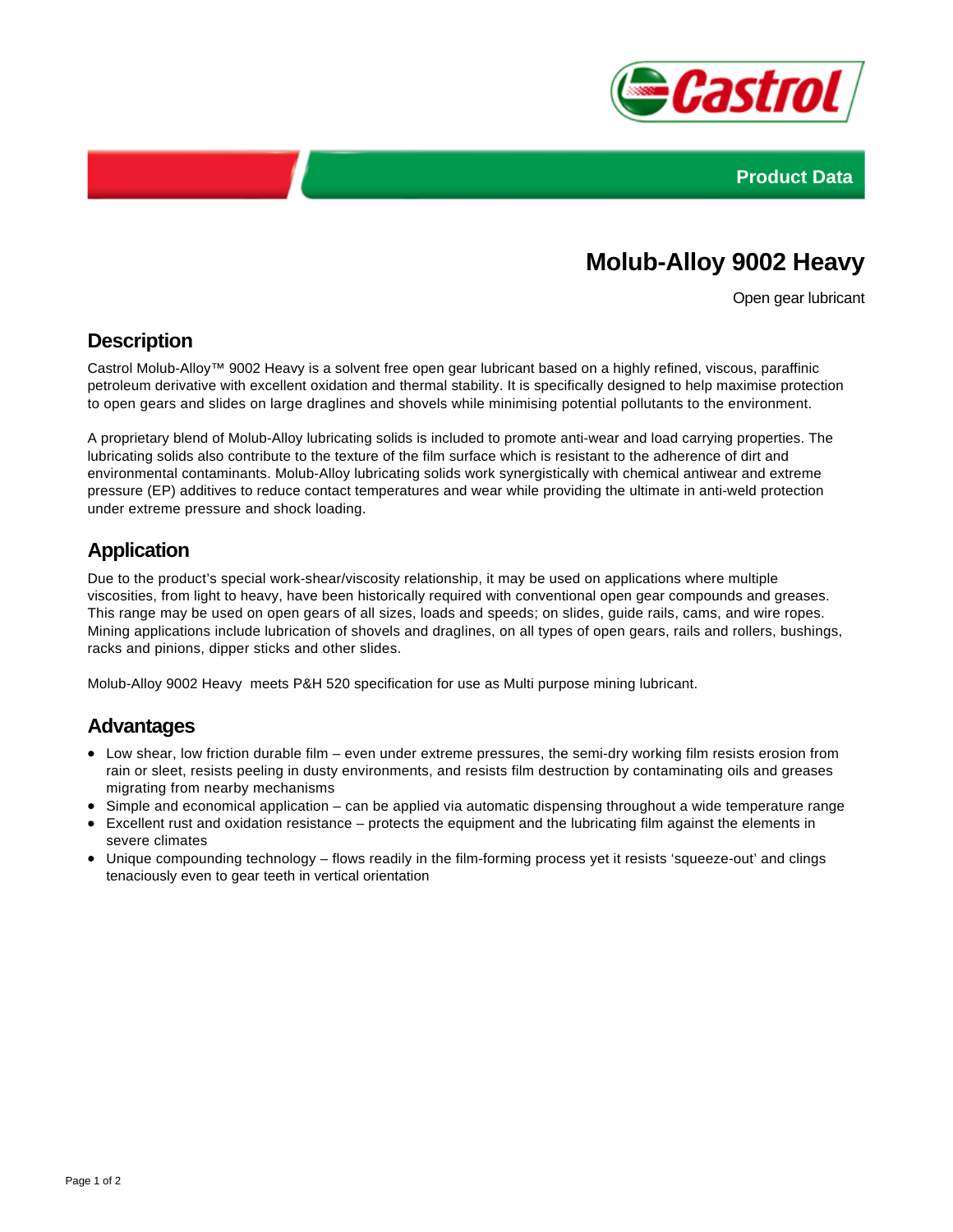



# **Molub-Alloy 9002 Heavy**

Open gear lubricant

#### **Description**

Castrol Molub-Alloy™ 9002 Heavy is a solvent free open gear lubricant based on a highly refined, viscous, paraffinic petroleum derivative with excellent oxidation and thermal stability. It is specifically designed to help maximise protection to open gears and slides on large draglines and shovels while minimising potential pollutants to the environment.

A proprietary blend of Molub-Alloy lubricating solids is included to promote anti-wear and load carrying properties. The lubricating solids also contribute to the texture of the film surface which is resistant to the adherence of dirt and environmental contaminants. Molub-Alloy lubricating solids work synergistically with chemical antiwear and extreme pressure (EP) additives to reduce contact temperatures and wear while providing the ultimate in anti-weld protection under extreme pressure and shock loading.

## **Application**

Due to the product's special work-shear/viscosity relationship, it may be used on applications where multiple viscosities, from light to heavy, have been historically required with conventional open gear compounds and greases. This range may be used on open gears of all sizes, loads and speeds; on slides, guide rails, cams, and wire ropes. Mining applications include lubrication of shovels and draglines, on all types of open gears, rails and rollers, bushings, racks and pinions, dipper sticks and other slides.

Molub-Alloy 9002 Heavy meets P&H 520 specification for use as Multi purpose mining lubricant.

#### **Advantages**

- Low shear, low friction durable film even under extreme pressures, the semi-dry working film resists erosion from rain or sleet, resists peeling in dusty environments, and resists film destruction by contaminating oils and greases migrating from nearby mechanisms
- Simple and economical application can be applied via automatic dispensing throughout a wide temperature range
- Excellent rust and oxidation resistance protects the equipment and the lubricating film against the elements in severe climates
- Unique compounding technology flows readily in the film-forming process yet it resists 'squeeze-out' and clings tenaciously even to gear teeth in vertical orientation